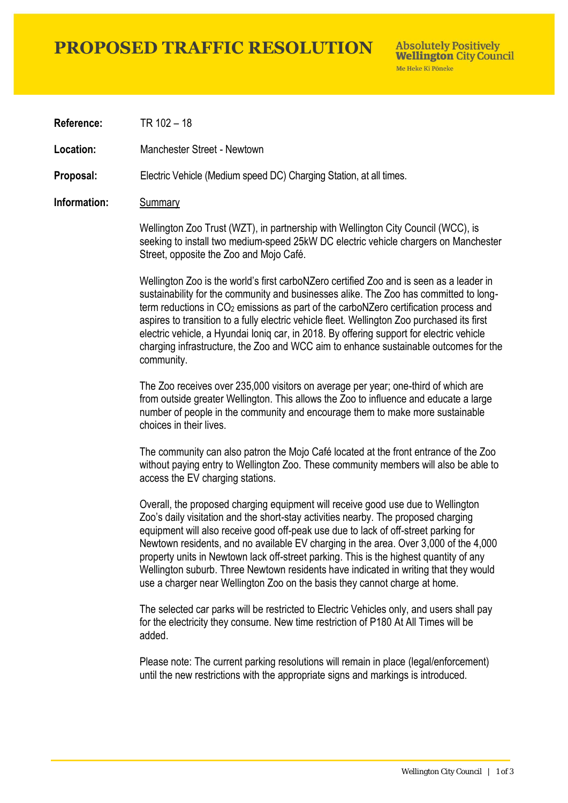### **PROPOSED TRAFFIC RESOLUTION**

**Absolutely Positively Wellington City Council** Me Heke Ki Pôneke

**Reference:** TR 102 – 18

**Location:** Manchester Street - Newtown

**Proposal:** Electric Vehicle (Medium speed DC) Charging Station, at all times.

#### **Information:** Summary

Wellington Zoo Trust (WZT), in partnership with Wellington City Council (WCC), is seeking to install two medium-speed 25kW DC electric vehicle chargers on Manchester Street, opposite the Zoo and Mojo Café.

Wellington Zoo is the world's first carboNZero certified Zoo and is seen as a leader in sustainability for the community and businesses alike. The Zoo has committed to longterm reductions in  $CO<sub>2</sub>$  emissions as part of the carboNZero certification process and aspires to transition to a fully electric vehicle fleet. Wellington Zoo purchased its first electric vehicle, a Hyundai Ioniq car, in 2018. By offering support for electric vehicle charging infrastructure, the Zoo and WCC aim to enhance sustainable outcomes for the community.

The Zoo receives over 235,000 visitors on average per year; one-third of which are from outside greater Wellington. This allows the Zoo to influence and educate a large number of people in the community and encourage them to make more sustainable choices in their lives.

The community can also patron the Mojo Café located at the front entrance of the Zoo without paying entry to Wellington Zoo. These community members will also be able to access the EV charging stations.

Overall, the proposed charging equipment will receive good use due to Wellington Zoo's daily visitation and the short-stay activities nearby. The proposed charging equipment will also receive good off-peak use due to lack of off-street parking for Newtown residents, and no available EV charging in the area. Over 3,000 of the 4,000 property units in Newtown lack off-street parking. This is the highest quantity of any Wellington suburb. Three Newtown residents have indicated in writing that they would use a charger near Wellington Zoo on the basis they cannot charge at home.

The selected car parks will be restricted to Electric Vehicles only, and users shall pay for the electricity they consume. New time restriction of P180 At All Times will be added.

Please note: The current parking resolutions will remain in place (legal/enforcement) until the new restrictions with the appropriate signs and markings is introduced.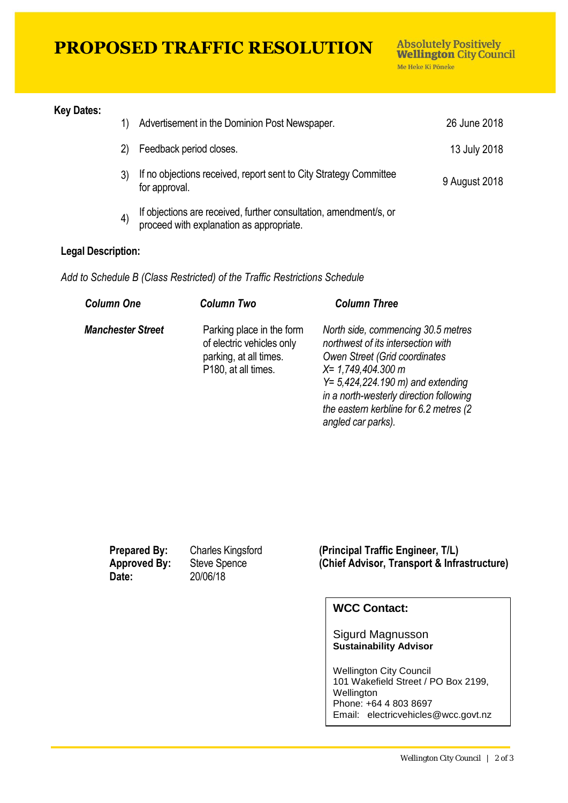## **PROPOSED TRAFFIC RESOLUTION**

#### **Key Dates:**

|                   | Advertisement in the Dominion Post Newspaper.                                                                 | 26 June 2018  |
|-------------------|---------------------------------------------------------------------------------------------------------------|---------------|
|                   | Feedback period closes.                                                                                       | 13 July 2018  |
|                   | If no objections received, report sent to City Strategy Committee<br>for approval.                            | 9 August 2018 |
| $\vert 4 \rangle$ | If objections are received, further consultation, amendment/s, or<br>proceed with explanation as appropriate. |               |

#### **Legal Description:**

*Add to Schedule B (Class Restricted) of the Traffic Restrictions Schedule* 

| <b>Column One</b>        | <b>Column Two</b>                                                                                       | <b>Column Three</b>                                                                                                                                                                                                                                                                           |
|--------------------------|---------------------------------------------------------------------------------------------------------|-----------------------------------------------------------------------------------------------------------------------------------------------------------------------------------------------------------------------------------------------------------------------------------------------|
| <b>Manchester Street</b> | Parking place in the form<br>of electric vehicles only<br>parking, at all times.<br>P180, at all times. | North side, commencing 30.5 metres<br>northwest of its intersection with<br>Owen Street (Grid coordinates<br>$X = 1,749,404.300$ m<br>$Y = 5,424,224.190 \text{ m}$ and extending<br>in a north-westerly direction following<br>the eastern kerbline for 6.2 metres (2)<br>angled car parks). |

**Date:** 20/06/18

**Prepared By:** Charles Kingsford (Principal Traffic Engineer, T/L)<br> **Approved By:** Steve Spence (Chief Advisor, Transport & Infra **Approved By: Steve Spence <b>(Chief Advisor, Transport & Infrastructure)** 

#### **WCC Contact:**

Sigurd Magnusson **Sustainability Advisor**

Wellington City Council 101 Wakefield Street / PO Box 2199, Wellington Phone: +64 4 803 8697 Email: electricvehicles@wcc.govt.nz